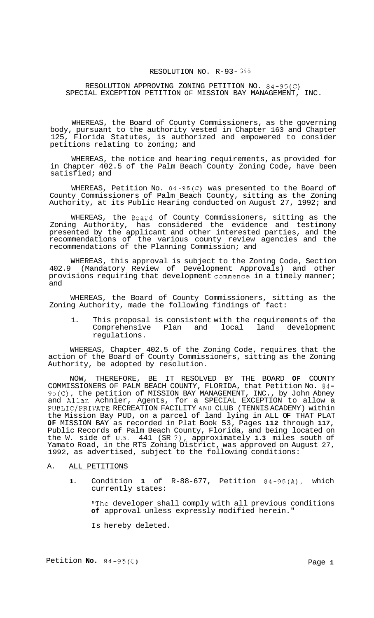#### RESOLUTION NO. R-93- *<sup>346</sup>*

#### RESOLUTION APPROVING ZONING PETITION NO. 84-95(C) SPECIAL EXCEPTION PETITION OF MISSION BAY MANAGEMENT, INC.

WHEREAS, the Board of County Commissioners, as the governing body, pursuant to the authority vested in Chapter 163 and Chapter 125, Florida Statutes, is authorized and empowered to consider petitions relating to zoning; and

WHEREAS, the notice and hearing requirements, as provided for in Chapter 402.5 of the Palm Beach County Zoning Code, have been satisfied; and

WHEREAS, Petition No. 84-95(C) was presented to the Board of County Commissioners of Palm Beach County, sitting as the Zoning Authority, at its Public Hearing conducted on August 27, 1992; and

WHEREAS, the Board of County Commissioners, sitting as the Zoning Authority, has considered the evidence and testimony presented by the applicant and other interested parties, and the recommendations of the various county review agencies and the recommendations of the Planning Commission; and

WHEREAS, this approval is subject to the Zoning Code, Section 402.9 (Mandatory Review of Development Approvals) and other provisions requiring that development comnence in a timely manner; and

WHEREAS, the Board of County Commissioners, sitting as the Zoning Authority, made the following findings of fact:

1. This proposal is consistent with the requirements of the<br>Comprehensive Plan and local land development Comprehensive Plan and regulations.

WHEREAS, Chapter 402.5 of the Zoning Code, requires that the action of the Board of County Commissioners, sitting as the Zoning Authority, be adopted by resolution.

NOW, THEREFORE, BE IT RESOLVED BY THE BOARD **OF** COUNTY COMMISSIONERS OF PALM BEACH COUNTY, FLORIDA, that Petition No. 84- 95(C), the petition of MISSION BAY MANAGEMENT, INC., by John Abney and Allan Achnier, Agents, for a SPECIAL EXCEPTION to allow a PUBLIC/PRIVATE RECREATION FACILITY AND CLUB (TENNIS ACADEMY) within the Mission Bay PUD, on a parcel of land lying in ALL OF THAT PLAT **OF** MISSION BAY as recorded in Plat Book 53, Pages **112** through **117,**  Public Records **of** Palm Beach County, Florida, and being located on the W. side of U.S. 441 (SR *7),* approximately **1.3** miles south of Yamato Road, in the RTS Zoning District, was approved on August 27, 1992, as advertised, subject to the following conditions:

#### A. ALL PETITIONS

**1.** Condition **1** of R-88-677, Petition 84-95(A), which currently states:

"The developer shall comply with all previous conditions **of** approval unless expressly modified herein."

Is hereby deleted.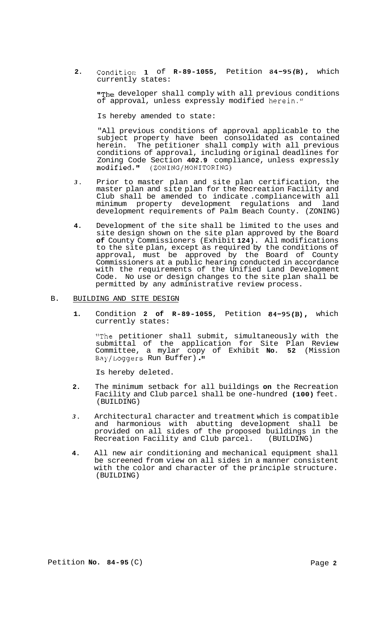**2.** Condition **1** of **R-89-1055,** Petition **84-95(B),** which currently states:

"The developer shall comply with all previous conditions of approval, unless expressly modified herein."

Is hereby amended to state:

"All previous conditions of approval applicable to the subject property have been consolidated as contained<br>herein. The petitioner shall comply with all previous The petitioner shall comply with all previous conditions of approval, including original deadlines for Zoning Code Section **402.9** compliance, unless expressly modified." (ZONING/MONITORING)

- *3.* Prior to master plan and site plan certification, the master plan and site plan for the Recreation Facility and Club shall be amended to indicate .compliance with all minimum property development regulations and land development requirements of Palm Beach County. (ZONING)
- **4.** Development of the site shall be limited to the uses and site design shown on the site plan approved by the Board **of** County Commissioners (Exhibit **124).** All modifications to the site plan, except as required by the conditions of approval, must be approved by the Board of County Commissioners at a public hearing conducted in accordance with the requirements of the Unified Land Development Code. No use or design changes to the site plan shall be permitted by any administrative review process.
- B. BUILDING AND SITE DESIGN
	- **1.** Condition **2 of R-89-1055,** Petition **84-95(B),** which currently states:

"The petitioner shall submit, simultaneously with the submittal of the application for Site Plan Review Committee, a mylar copy of Exhibit **No. 52** (Mission Bay/Loggers Run Buffer) .

Is hereby deleted.

- **2.** The minimum setback for all buildings **on** the Recreation Facility and Club parcel shall be one-hundred **(100)** feet. (BUILDING)
- *3.* Architectural character and treatment which is compatible and harmonious with abutting development shall be provided on all sides of the proposed buildings in the Recreation Facility and Club parcel. (BUILDING)
- **4.** All new air conditioning and mechanical equipment shall be screened from view on all sides in a manner consistent with the color and character of the principle structure. (BUILDING)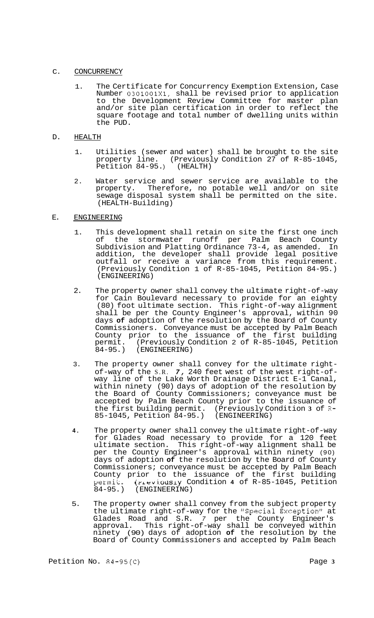# C. CONCURRENCY

1. The Certificate for Concurrency Exemption Extension, Case Number 0301001X1, shall be revised prior to application to the Development Review Committee for master plan and/or site plan certification in order to reflect the square footage and total number of dwelling units within the PUD.

## D. HEALTH

- 1. Utilities (sewer and water) shall be brought to the site property line. (Previously Condition 27 of R-85-1045, Petition 84-95.) (HEALTH)
- 2. Water service and sewer service are available to the property. Therefore, no potable well and/or on site sewage disposal system shall be permitted on the site. (HEALTH-Building)

## E. ENGINEERING

- 1. This development shall retain on site the first one inch<br>of the stormwater runoff per Palm Beach County the stormwater runoff per Palm Beach County Subdivision and Platting Ordinance 73-4, as amended. In addition, the developer shall provide legal positive outfall or receive a variance from this requirement. (Previously Condition 1 of R-85-1045, Petition 84-95.) (ENGINEERING)
- 2. The property owner shall convey the ultimate right-of-way for Cain Boulevard necessary to provide for an eighty (80) foot ultimate section. This right-of-way alignment shall be per the County Engineer's approval, within 90 days **of** adoption of the resolution by the Board of County Commissioners. Conveyance must be accepted by Palm Beach County prior to the issuance of the first building<br>permit. (Previously Condition 2 of R-85-1045, Petition permit. (Previously Condition 2 of R-85-1045, Petition<br>84-95.) (ENGINEERING) 84-95.) (ENGINEERING)
- 3. The property owner shall convey for the ultimate right-<br>of-way of the S.R. **7,** 240 feet west of the west right-of-<br>way line of the Lake Worth Drainage District E-1 Canal, within ninety (90) days of adoption of the resolution by the Board of County Commissioners; conveyance must be accepted by Palm Beach County prior to the issuance of the first building permit. (Previously Condition **3** of R-85-1045, Petition 84-95.)
- **4.** The property owner shall convey the ultimate right-of-way for Glades Road necessary to provide for a 120 feet ultimate section. This right-of-way alignment shall be per the County Engineer's approval within ninety (90) days of adoption **of** the resolution by the Board of County Commissioners; conveyance must be accepted by Palm Beach County prior to the issuance of the first building permiL. (rLeviously Condition **4** of R-85-1045, Petition 84-95.) (ENGINEERING)
- 5. The property owner shall convey from the subject property the ultimate right-of-way for the "Special Exception" at Glades Road and S.R. *7* per the County Engineer's approval. This right-of-way shall be conveyed within ninety (90) days of adoption **of** the resolution by the Board of County Commissioners and accepted by Palm Beach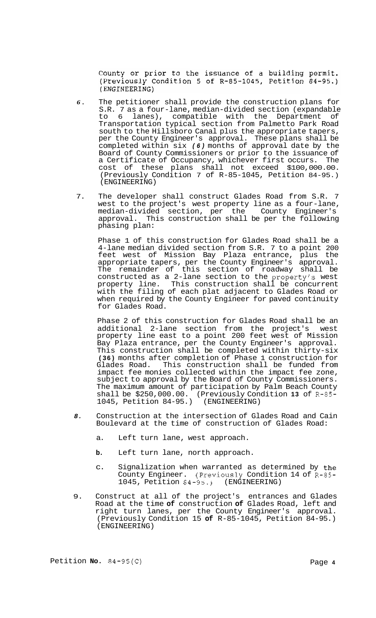County or prior to the issuance of a building permit. (Previously Condition 5 of R-85-1045, Petition 84-95.) (ENGINEERING)

- *6.* The petitioner shall provide the construction plans for S.R. 7 as a four-lane, median-divided section (expandable<br>to 6 lanes), compatible with the Department of 6 lanes), compatible with the Department Transportation typical section from Palmetto Park Road south to the Hillsboro Canal plus the appropriate tapers, per the County Engineer's approval. These plans shall be completed within six *(6)* months of approval date by the Board of County Commissioners or prior to the issuance of a Certificate of Occupancy, whichever first occurs. The cost of these plans shall not exceed \$100,000.00. (Previously Condition 7 of R-85-1045, Petition 84-95.) (ENGINEERING)
- 7. The developer shall construct Glades Road from S.R. 7 west to the project's west property line as a four-lane, median-divided section, per the County Engineer's approval. This construction shall be per the following phasing plan:

Phase 1 of this construction for Glades Road shall be a 4-lane median divided section from S.R. 7 to a point 200 feet west of Mission Bay Plaza entrance, plus the appropriate tapers, per the County Engineer's approval. The remainder of this section of roadway shall be constructed as a 2-lane section to the property's west property line. This construction shall be concurrent with the filing of each plat adjacent to Glades Road or when required by the County Engineer for paved continuity for Glades Road.

Phase 2 of this construction for Glades Road shall be an additional 2-lane section from the project's west property line east to a point 200 feet west of Mission Bay Plaza entrance, per the County Engineer's approval. This construction shall be completed within thirty-six **(36)** months after completion of Phase 1 construction for Glades Road. This construction shall be funded from impact fee monies collected within the impact fee zone, subject to approval by the Board of County Commissioners. The maximum amount of participation by Palm Beach County shall be \$250,000.00. (Previously Condition **13** of R-85- 1045, Petition 84-95.) (ENGINEERING)

- *8.* Construction at the intersection of Glades Road and Cain Boulevard at the time of construction of Glades Road:
	- a. Left turn lane, west approach.
	- **b.** Left turn lane, north approach.
	- c. Signalization when warranted as determined by the County Engineer. (Previously Condition 14 of R-85- 1045, Petition 84-55.) (ENGINEERING)
- 9. Construct at all of the project's entrances and Glades Road at the time **of** construction **of** Glades Road, left and right turn lanes, per the County Engineer's approval. (Previously Condition 15 **of** R-85-1045, Petition 84-95.) (ENGINEERING)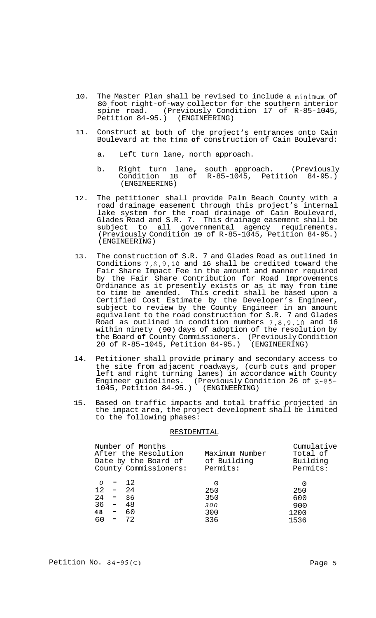- 10. The Master Plan shall be revised to include a minimum of 80 foot right-of-way collector for the southern interior spine road. (Previously Condition 17 of R-85-1045, Petition 84-95.) (ENGINEERING)
- 11. Construct at both of the project's entrances onto Cain Boulevard at the time **of** construction of Cain Boulevard:
	- a. Left turn lane, north approach.
	- b. Right turn lane, south approach. (Previously Condition 18 of R-85-1045, Petition 84-95.) (ENGINEERING)
- 12. The petitioner shall provide Palm Beach County with a road drainage easement through this project's internal lake system for the road drainage of Cain Boulevard, Glades Road and S.R. 7. This drainage easement shall be subject to all governmental agency requirements. (Previously Condition 19 of R-85-1045, Petition 84-95.) (ENGINEERING)
- 13. The construction of S.R. 7 and Glades Road as outlined in Conditions 7,8,9,10 and 16 shall be credited toward the Fair Share Impact Fee in the amount and manner required by the Fair Share Contribution for Road Improvements Ordinance as it presently exists or as it may from time to time be amended. This credit shall be based upon a Certified Cost Estimate by the Developer's Engineer, subject to review by the County Engineer in an amount equivalent to the road construction for S.R. 7 and Glades Road as outlined in condition numbers  $7,8,9,10$  and 16 within ninety (90) days of adoption of the resolution by the Board **of** County Commissioners. (Previously Condition 20 of R-85-1045, Petition 84-95.) (ENGINEERING)
- 14. Petitioner shall provide primary and secondary access to the site from adjacent roadways, (curb cuts and proper left and right turning lanes) in accordance with County Engineer guidelines. (Previously Condition 26 of R-85- 1045, Petition 84-95.) (ENGINEERING)
- 15. Based on traffic impacts and total traffic projected in the impact area, the project development shall be limited to the following phases:

#### RESIDENTIAL

| Number of Months<br>After the Resolution<br>Date by the Board of<br>County Commissioners:                                                   | Maximum Number<br>of Building<br>Permits: | Cumulative<br>Total of<br>Building<br>Permits: |
|---------------------------------------------------------------------------------------------------------------------------------------------|-------------------------------------------|------------------------------------------------|
| 12<br>12.<br>24<br>$\sim$<br>24<br>36<br>$\alpha=1/2$<br>36<br>48<br>$\qquad \qquad$<br>48<br>60<br>$\mathcal{L} = \mathcal{L}$<br>72<br>60 | O<br>250<br>350<br>300<br>300<br>336      | O<br>250<br>600<br>900<br>1200<br>1536         |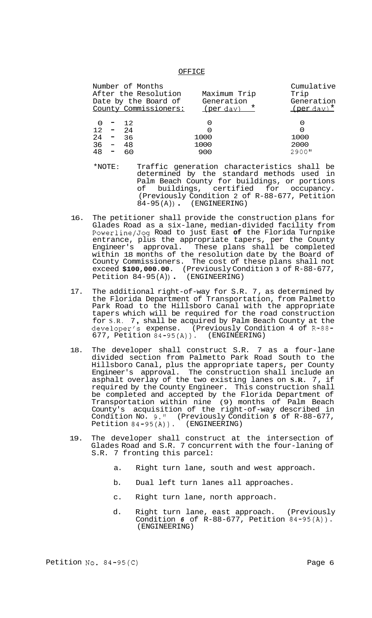#### **OFFICE**

| Number of Months<br>After the Resolution<br>Date by the Board of<br>County Commissioners:                           | Maximum Trip<br>Generation<br>(per day) | Cumulative<br>Trip<br>Generation<br>$(\text{per day})$ |
|---------------------------------------------------------------------------------------------------------------------|-----------------------------------------|--------------------------------------------------------|
| 12<br>ш<br>12<br>24<br>$\blacksquare$<br>24<br>36<br>$\blacksquare$<br>36<br>48<br>$\qquad \qquad$<br>48<br>60<br>- | 1000<br>1000<br>900                     | 1000<br>2000<br>2900"                                  |

- \*NOTE : Traffic generation characteristics shall be determined by the standard methods used in Palm Beach County for buildings, or portions of buildings, certified for occupancy. (Previously Condition 2 of R-88-677, Petition 84-95 (A) ) . (ENGINEERING)
- 16. The petitioner shall provide the construction plans for Glades Road as a six-lane, median-divided facility from Powerline/Jog Road to just East **of** the Florida Turnpike entrance, plus the appropriate tapers, per the County Engineer's approval. These plans shall be completed within 18 months of the resolution date by the Board of County Commissioners. The cost of these plans shall not exceed **\$100,000.00.** (Previously Condition **3** of R-88-677, Petition 84-95(A)) (ENGINEERING)
- 17. The additional right-of-way for S.R. 7, as determined by the Florida Department of Transportation, from Palmetto Park Road to the Hillsboro Canal with the appropriate tapers which will be required for the road construction tapers which will be required for the road construction<br>for S.R. 7, shall be acquired by Palm Beach County at the developer's expense. (Previously Condition 4 of R-88- 677, Petition 84-95(A)). (ENGINEERING)
- 18. The developer shall construct S.R. 7 as a four-lane divided section from Palmetto Park Road South to the Hillsboro Canal, plus the appropriate tapers, per County Engineer's approval. The construction shall include an asphalt overlay of the two existing lanes on **S.R.** 7, if required by the County Engineer. This construction shall be completed and accepted by the Florida Department of Transportation within nine (9) months of Palm Beach County's acquisition of the right-of-way described in Condition No. 9." (Previously Condition 5 of R-88-677,<br>Petition 84-95(A)). (ENGINEERING) Petition  $84-95(A)$ ).
- 19. The developer shall construct at the intersection of Glades Road and S.R. 7 concurrent with the four-laning of S.R. 7 fronting this parcel:
	- a. Right turn lane, south and west approach.
	- b. Dual left turn lanes all approaches.
	- c. Right turn lane, north approach.
	- d. Right turn lane, east approach. (Previously Condition *6* of R-88-677, Petition 84-95(A)). (ENGINEERING)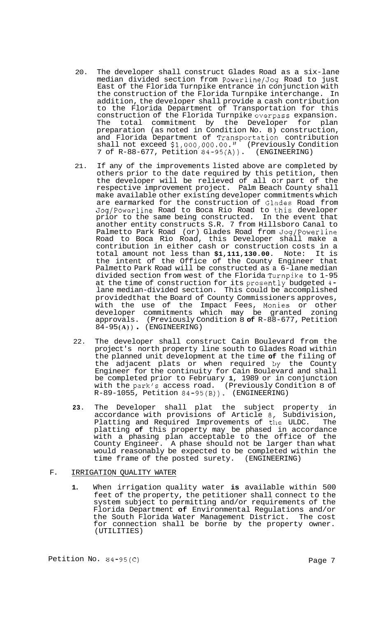- 20. The developer shall construct Glades Road as a six-lane median divided section from Powerline/Jog Road to just East of the Florida Turnpike entrance in conjunction with the construction of the Florida Turnpike interchange. In addition, the developer shall provide a cash contribution to the Florida Department of Transportation for this construction of the Florida Turnpike overpass expansion. The total commitment by the Developer for plan preparation (as noted in Condition No. 8) construction, and Florida Department of Transportation contribution shall not exceed \$1,000,000.00." (Previously Condition 7 of R-88-677, Petition 84-95(A)). (ENGINEERING)
- 21. If any of the improvements listed above are completed by others prior to the date required by this petition, then the developer will be relieved of all o:r part of the respective improvement project. Palm Beach County shall make available other existing developer commitments which are earmarked for the construction of Glades Road from Jog/Powerline Road to Boca Rio Road to this developer prior to the same being constructed. another entity constructs S.R. 7 from Hillsboro Canal to Palmetto Park Road (or) Glades Road from Jog/Powerline Road to Boca Rio Road, this Developer shall make a contribution in either cash or construction costs in a total amount not less than **\$1,111,130.00.** Note: It is the intent of the Office of the County Engineer that Palmetto Park Road will be constructed as a 6-lane median divided section from west of the Florida Turnpike to 1-95 at the time of construction for its present.ly budgeted 4 lane median-divided section. This could be accomplished providedthat the Board of County Commissioners approves, with the use of the Impact Fees, Monies or other developer commitments which may be granted zoning approvals. (Previously Condition 8 **of** R-88-677, Petition 84-95 **(A)** ) . (ENGINEERING)
- 22. The developer shall construct Cain Boulevard from the project's north property line south to Glades Road within the planned unit development at the time **of** the filing of the adjacent plats or when required by the County Engineer for the continuity for Cain Boulevard and shall be completed prior to February **1,** 1989 or in conjunction with the park<sup>7</sup>s access road. (Previously Condition 8 of R-89-1055, Petition 84-95(B)). (ENGINEERING)
- **23.** The Developer shall plat the subject property in accordance with provisions of Article 8, Subdivision, Platting and Required Improvements of the ULDC. The platting **of** this property may be phased in accordance with a phasing plan acceptable to the office of the County Engineer. A phase should not be larger than what would reasonably be expected to be completed within the time frame of the posted surety. (ENGINEERING)

## F. IRRIGATION QUALITY WATER

**1.** When irrigation quality water **is** available within 500 feet of the property, the petitioner shall connect to the system subject to permitting and/or requirements of the Florida Department **of** Environmental Regulations and/or the South Florida Water Management District. The cost for connection shall be borne by the property owner. (UTILITIES)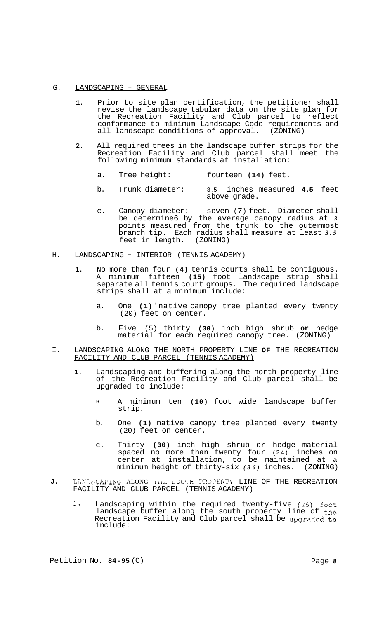#### G. LANDSCAPING - GENERAL

- **1.** Prior to site plan certification, the petitioner shall revise the landscape tabular data on the site plan for the Recreation Facility and Club parcel to reflect conformance to minimum Landscape Code requirements and all landscape conditions of approval. (ZONING)
- 2. All required trees in the landscape buffer strips for the Recreation Facility and Club parcel shall meet the following minimum standards at installation:
	- a. Tree height: fourteen **(14)** feet.
	- b. Trunk diameter: 3.5 inches measured **4.5** feet above grade.
	- c. Canopy diameter: seven (7) feet. Diameter shall be determine6 by the average canopy radius at *3*  points measured from the trunk to the outermost branch tip. Each radius shall measure at least *3.5*  feet in length.

# H. LANDSCAPING - INTERIOR (TENNIS ACADEMY)

- **1.** No more than four **(4)** tennis courts shall be contiguous. A minimum fifteen **(15)** foot landscape strip shall separate all tennis court groups. The required landscape strips shall at a minimum include:
	- a. One **(1)** 'native canopy tree planted every twenty (20) feet on center.
	- b. Five (5) thirty **(30)** inch high shrub **or** hedge material for each required canopy tree. (ZONING)
- I. LANDSCAPING ALONG THE NORTH PROPERTY LINE **OF** THE RECREATION FACILITY AND CLUB PARCEL (TENNIS ACADEMY)
	- **1.** Landscaping and buffering along the north property line of the Recreation Facility and Club parcel shall be upgraded to include:
		- a. A minimum ten **(10)** foot wide landscape buffer strip.
		- b. One **(1)** native canopy tree planted every twenty (20) feet on center.
		- c. Thirty **(30)** inch high shrub or hedge material spaced no more than twenty four (24) inches on center at installation, to be maintained at a minimum height of thirty-six *(36)* inches. (ZONING)

## **J.** LANDSCAPiNG ALONG Irlc suU'i'H PROPERTY LINE OF THE RECREATION FACILITY AND CLUB PARCEL (TENNIS ACADEMY)

**1.** Landscaping within the required twenty-five *(25)* foot landscape buffer along the south property line of the Recreation Facility and Club parcel shall be upgraded to include: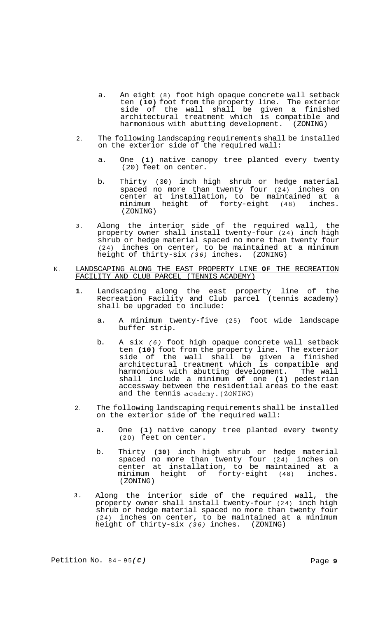- a. An eight (8) foot high opaque concrete wall setback ten **(10)** foot from the property line. The exterior side of the wall shall be given a finished architectural treatment which is compatible and harmonious with abutting development. (ZONING)
- 2. The following landscaping requirements shall be installed on the exterior side of the required wall:
	- a. One **(1)** native canopy tree planted every twenty (20) feet on center.
	- b. Thirty (30) inch high shrub or hedge material spaced no more than twenty four (24) inches on center at installation, to be maintained at a minimum height of forty-eight (48) inches. (ZONING)
- *3.* Along the interior side of the required wall, the property owner shall install twenty-four (24) inch high shrub or hedge material spaced no more than twenty four (24) inches on center, to be maintained at a minimum height of thirty-six *(36)* inches. (ZONING)
- K. LANDSCAPING ALONG THE EAST PROPERTY LINE **OF** THE RECREATION FACILITY AND CLUB PARCEL (TENNIS ACADEMY)
	- **1.**  Landscaping along the east property line of the Recreation Facility and Club parcel (tennis academy) shall be upgraded to include:
		- a. A minimum twenty-five (25) foot wide landscape buffer strip.
		- b. A six *(6)* foot high opaque concrete wall setback ten **(10)** foot from the property line. The exterior side of the wall shall be given a finished architectural treatment which is compatible and harmonious with abutting development. The wall shall include a minimum **of** one **(1)** pedestrian accessway between the residential areas to the east and the tennis academy.(ZONING)
	- 2. The following landscaping requirements shall be installed on the exterior side of the required wall:
		- a. One **(1)** native canopy tree planted every twenty (20) feet on center.
		- b. Thirty **(30)** inch high shrub or hedge material spaced no more than twenty four (24) inches on center at installation, to be maintained at a minimum height of forty-eight (48) inches. (ZONING)
	- *3.*  Along the interior side of the required wall, the property owner shall install twenty-four (24) inch high shrub or hedge material spaced no more than twenty four (24) inches on center, to be maintained at a minimum height of thirty-six *(36)* inches. (ZONING)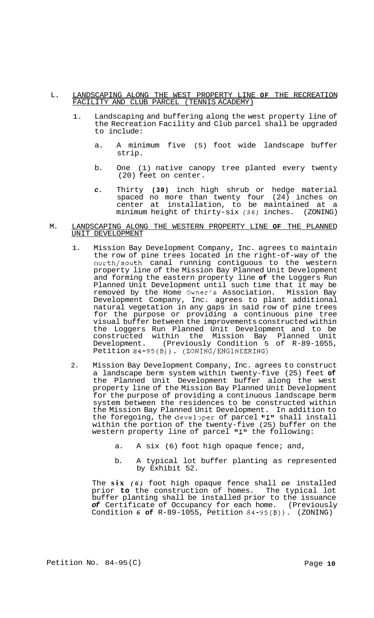## L. LANDSCAPING ALONG THE WEST PROPERTY LINE **OF** THE RECREATION FACILITY AND CLUB PARCEL (TENNIS ACADEMY)

- 1. Landscaping and buffering along the west property line of the Recreation Facility and Club parcel shall be upgraded to include:
	- a. A minimum five (5) foot wide landscape buffer strip.
	- b. One (1) native canopy tree planted every twenty (20) feet on center.
	- *c.* Thirty **(30)** inch high shrub or hedge material spaced no more than twenty four (24) inches on center at installation, to be maintained at a minimum height of thirty-six *(36)* inches. (ZONING)

### M. LANDSCAPING ALONG THE WESTERN PROPERTY LINE **OF** THE PLANNED UNIT DEVELOPMENT

- 1. Mission Bay Development Company, Inc. agrees to maintain the row of pine trees located in the right-of-way of the north/south canal running contiguous to the western property line of the Mission Bay Planned Unit Development and forming the eastern property line **of** the Loggers Run Planned Unit Development until such time that it may be removed by the Home Owner's Association. Mission Bay Development Company, Inc. agrees to plant additional natural vegetation in any gaps in said row of pine trees for the purpose or providing a continuous pine tree visual buffer between the improvements constructed within the Loggers Run Planned Unit Development and to be constructed within the Mission Bay Planned Unit Development. (Previously Condition 5 of R-89-1055, Petition 84-95(B)). (ZONING/ENGINEERING)
- 2. Mission Bay Development Company, Inc. agrees to construct a landscape berm system within twenty-five (25) feet **of**  the Planned Unit Development buffer along the west property line of the Mission Bay Planned Unit Development for the purpose of providing a continuous landscape berm system between the residences to be constructed within the Mission Bay Planned Unit Development. In addition to the foregoing, the developer of parcel "I" shall install within the portion of the twenty-f ive (25) buffer on the western property line of parcel "I" the following:
	- a. A six (6) foot high opaque fence; and,
	- b. A typical lot buffer planting as represented by Exhibit 52.

The **six** *(6)* foot high opaque fence shall **De** installed prior **to** the construction of homes. The typical lot buffer planting shall be installed prior to the issuance *of* Certificate of Occupancy for each home. (Previously Condition *6* **of** R-89-1055, Petition 84-95(B)). (ZONING)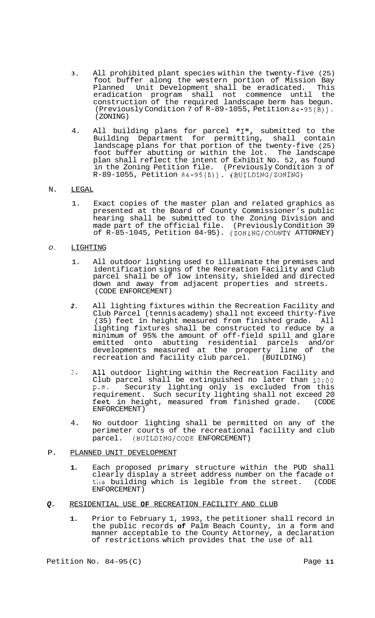- **3.** All prohibited plant species within the twenty-five (25) foot buffer along the western portion of Mission Bay Planned Unit Development shall be eradicated. This eradication program shall not commence until the construction of the required landscape berm has begun. (Previously Condition 7 of R-89-1055, Petition  $84-95(\overline{B})$ ). (ZONING)
- 4. All building plans for parcel "I", submitted to the Building Department for permitting, shall contain landscape plans for that portion of the twenty-five (25) foot buffer abutting or within the lot. The landscape plan shall reflect the intent of Exhibit No. 52, as found in the Zoning Petition file. (Previously Condition 3 of R-89-1055, Petition 84-95(B)). (BUILDING/ZONING)

## N. LEGAL

1. Exact copies of the master plan and related graphics as presented at the Board of County Commissioner's public hearing shall be submitted to the Zoning Division and made part of the official file. (Previously Condition 39 of R-85-1045, Petition 84-95). (ZONING/COUNTY ATTORNEY)

#### *0.*  **LIGHTING**

- 1. All outdoor lighting used to illuminate the premises and identification signs of the Recreation Facility and Club parcel shall be of low intensity, shielded and directed down and away from adjacent properties and streets. (CODE ENFORCEMENT)
- *2.* All lighting fixtures within the Recreation Facility and Club Parcel (tennis academy) shall not exceed thirty-five (35) feet in height measured from finished grade. lighting fixtures shall be constructed to reduce by a minimum of 95% the amount of off-field spill and glare emitted onto abutting residential parcels and/or developments measured at the property line of the recreation and facility club parcel. (BUILDING)
- *3.* All outdoor lighting within the Recreation Facility and Club parcel shall be extinguished no later than 10:oo p.m. Security lighting only is excluded from this requirement. Such security lighting shall not exceed 20<br> **feet** in height, measured from finished grade. (CODE feet in height, measured from finished grade. ENFORCEMENT)
- 4. No outdoor lighting shall be permitted on any of the perimeter courts of the recreational facility and club parcel. (BUILDING/CODE ENFORCEMENT)

#### P. PLANNED UNIT DEVELOPMENT

- **1.** Each proposed primary structure within the PUD shall clearly display a street address number on the facade of the building which is legible from the street. (CODE ENFORCEMENT)
- *Q.* RESIDENTIAL USE **OF** RECREATION FACILITY AND CLUB
	- **1.** Prior to February 1, 1993, the petitioner shall record in the public records **of** Palm Beach County, in a form and manner acceptable to the County Attorney, a declaration of restrictions which provides that the use of all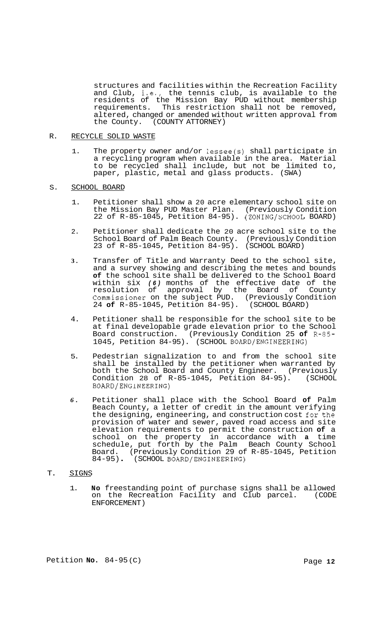structures and facilities within the Recreation Facility and Club, i.e., the tennis club, is available to the residents of the Mission Bay PUD without membership requirements. This restriction shall not be removed, altered, changed or amended without written approval from the County. (COUNTY ATTORNEY)

- R. RECYCLE SOLID WASTE
	- 1. The property owner and/or lessee(s) shall participate in a recycling program when available in the area. Material to be recycled shall include, but not be limited to, paper, plastic, metal and glass products. (SWA)

### S. SCHOOL BOARD

- 1. Petitioner shall show a 20 acre elementary school site on the Mission Bay PUD Master Plan. (Previously Condition 22 of R-85-1045, Petition 84-95). (ZONING/SCHOOL BOARD)
- 2. Petitioner shall dedicate the 20 acre school site to the School Board of Palm Beach County. (Previously Condition 23 of R-85-1045, Petition 84-95). (SCHOOL BOARD)
- **3.**  Transfer of Title and Warranty Deed to the school site, and a survey showing and describing the metes and bounds **of** the school site shall be delivered to the School Board within six *(6)* months of the effective date of the resolution of approval by the Board of Commissioner on the subject PUD. (Previously Condition 24 **of** R-85-1045, Petition 84-95). (SCHOOL BOARD)
- 4. Petitioner shall be responsible for the school site to be at final developable grade elevation prior to the School Board construction. (Previously Condition 25 **of** R-85- 1045, Petition 84-95). (SCHOOL BOARD/ENGINEERING)
- 5. Pedestrian signalization to and from the school site shall be installed by the petitioner when warranted by both the School Board and County Engineer. (Previously Condition 28 of R-85-1045, Petition 84-95). (SCHOOL BOARD/ENGINEERING)
- *6.*  Petitioner shall place with the School Board **of** Palm Beach County, a letter of credit in the amount verifying the designing, engineering, and construction cost for the provision of water and sewer, paved road access and site elevation requirements to permit the construction **of** a school on the property in accordance with **a** time schedule, put forth by the Palm Beach County School Board. (Previously Condition 29 of R-85-1045, Petition 84-95) . (SCHOOL BOARD/ENGINEERING)

## T. SIGNS

1. **No** freestanding point of purchase signs shall be allowed on the Recreation Facility and Club parcel. (CODE ENFORCEMENT)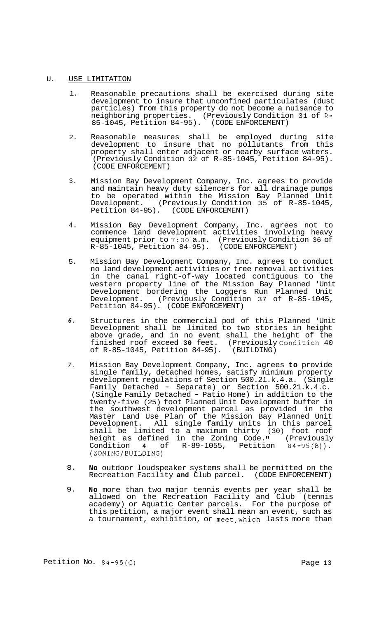## U. USE LIMITATION

- 1. Reasonable precautions shall be exercised during site development to insure that unconfined particulates (dust particles) from this property do not become a nuisance to neighboring properties. (Previously Condition 31 of R-85-1045, Petition 84-95). (CODE ENFORCEMENT)
- 2. Reasonable measures shall be employed during site development to insure that no pollutants from this property shall enter adjacent or nearby surface waters. (Previously Condition 32 of R-85-1045, Petition 84-95). (CODE ENFORCEMENT)
- 3. Mission Bay Development Company, Inc. agrees to provide and maintain heavy duty silencers for all drainage pumps to be operated within the Mission Bay Planned Unit Development. (Previously Condition 35 of R-85-1045, Petition 84-95). (CODE ENFORCEMENT)
- 4. Mission Bay Development Company, Inc. agrees not to commence land development activities involving heavy equipment prior to *7:OO* a.m. (Previously Condition 36 of R-85-1045, Petition 84-95). (CODE ENFORCEMENT)
- 5. Mission Bay Development Company, Inc. agrees to conduct no land development activities or tree removal activities in the canal right-of-way located contiguous to the western property line of the Mission Bay Planned 'Unit Development bordering the Loggers Run Planned Unit Development. (Previously Condition 37 of R-85-1045, Petition 84-95). (CODE ENFORCEMENT)
- *6.*  Structures in the commercial pod of this Planned 'Unit Development shall be limited to two stories in height above grade, and in no event shall the height of the finished roof exceed 30 feet. (Previously Condition 40 of R-85-1045, Petition 84-95). (BUILDING)
- *7.*  Mission Bay Development Company, Inc. agrees **to** provide single family, detached homes, satisfy minimum property development regulations of Section 500.21.k.4.a. (Single Family Detached - Separate) or Section 500.21.k.4.c. (Single Family Detached - Patio Home) in addition to the twenty-five (25) foot Planned Unit Development buffer in the southwest development parcel as provided in the Master Land Use Plan of the Mission Bay Planned Unit Development. All single family units in this parcel shall be limited to a maximum thirty (30) foot roof height as defined in the Zoning Code." (Previously Condition **4** of R-89-1055, Petition 84-95(B)). (ZONING/BUILDING)
- 8. **No** outdoor loudspeaker systems shall be permitted on the Recreation Facility **and** Club parcel. (CODE ENFORCEMENT)
- 9. **No** more than two major tennis events per year shall be allowed on the Recreation Facility and Club (tennis academy) or Aquatic Center parcels. For the purpose of this petition, a major event shall mean an event, such as a tournament, exhibition, or meet,which lasts more than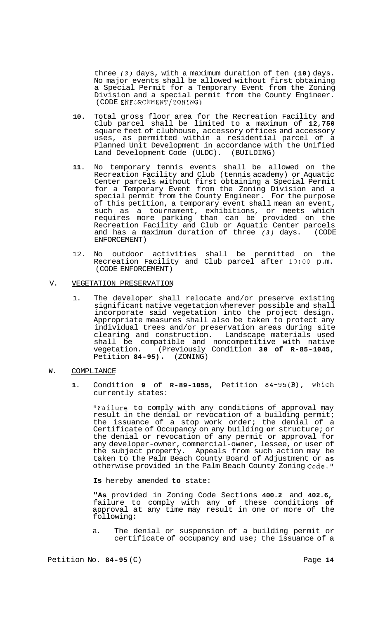three *(3)* days, with a maximum duration of ten **(10)** days. No major events shall be allowed without first obtaining a Special Permit for a Temporary Event from the Zoning Division and a special permit from the County Engineer. (CODE ENFORCEMENT/ZONING)

- **10.** Total gross floor area for the Recreation Facility and Club parcel shall be limited to **a** maximum of **12,750**  square feet of clubhouse, accessory offices and accessory uses, as permitted within a residential parcel of a Planned Unit Development in accordance with the Unified<br>Land Development Code (ULDC). (BUILDING) Land Development Code (ULDC).
- **11.** No temporary tennis events shall be allowed on the Recreation Facility and Club (tennis academy) or Aquatic Center parcels without first obtaining a Special Permit for a Temporary Event from the Zoning Division and a special permit from the County Engineer. For the purpose of this petition, a temporary event shall mean an event, such as a tournament, exhibitions, or meets which requires more parking than can be provided on the Recreation Facility and Club or Aquatic Center parcels and has a maximum duration of three *(3)* days. (CODE ENFORCEMENT)
- 12. No outdoor activities shall be permitted on the Recreation Facility and Club parcel after **1O:OO** p.m. (CODE ENFORCEMENT)

#### V. VEGETATION PRESERVATION

1. The developer shall relocate and/or preserve existing significant native vegetation wherever possible and shall incorporate said vegetation into the project design. Appropriate measures shall also be taken to protect any individual trees and/or preservation areas during site clearing and construction. Landscape materials used shall be compatible and noncompetitive with native vegetation. (Previously Condition **30 of R-85-1045,**  Petition **84-95)** . (ZONING)

## **W.** COMPLIANCE

**1.** Condition **9** of **R-89-1055,** Petition **84-95(B),** which currently states:

"Failure to comply with any conditions of approval may result in the denial or revocation of a building permit; the issuance of a stop work order; the denial of a Certificate of Occupancy on any building **or** structure; or the denial or revocation of any permit or approval for any developer-owner, commercial-owner, lessee, or user of the subject property. Appeals from such action may be taken to the Palm Beach County Board of Adjustment or **as**  otherwise provided in the Palm Beach County Zoning Code."

**Is** hereby amended **to** state:

**"As** provided in Zoning Code Sections **400.2** and **402.6,**  failure to comply with any **of** these conditions **of**  approval at any time may result in one or more of the following:

a. The denial or suspension of a building permit or certificate of occupancy and use; the issuance of a